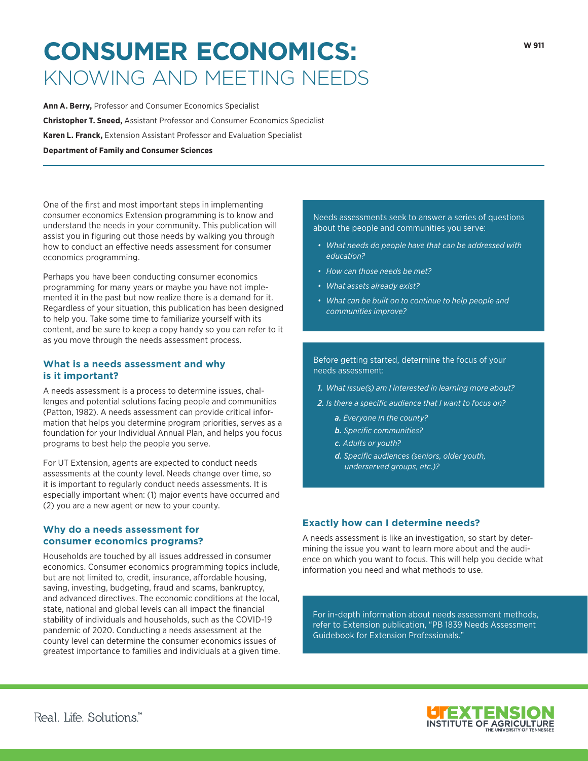# **CONSUMER ECONOMICS:**  KNOWING AND MEETING NEEDS

**Ann A. Berry,** Professor and Consumer Economics Specialist **Christopher T. Sneed,** Assistant Professor and Consumer Economics Specialist **Karen L. Franck,** Extension Assistant Professor and Evaluation Specialist **Department of Family and Consumer Sciences**

One of the first and most important steps in implementing consumer economics Extension programming is to know and understand the needs in your community. This publication will assist you in figuring out those needs by walking you through how to conduct an effective needs assessment for consumer economics programming.

Perhaps you have been conducting consumer economics programming for many years or maybe you have not implemented it in the past but now realize there is a demand for it. Regardless of your situation, this publication has been designed to help you. Take some time to familiarize yourself with its content, and be sure to keep a copy handy so you can refer to it as you move through the needs assessment process.

# **What is a needs assessment and why is it important?**

A needs assessment is a process to determine issues, challenges and potential solutions facing people and communities (Patton, 1982). A needs assessment can provide critical information that helps you determine program priorities, serves as a foundation for your Individual Annual Plan, and helps you focus programs to best help the people you serve.

For UT Extension, agents are expected to conduct needs assessments at the county level. Needs change over time, so it is important to regularly conduct needs assessments. It is especially important when: (1) major events have occurred and (2) you are a new agent or new to your county.

# **Why do a needs assessment for consumer economics programs?**

Households are touched by all issues addressed in consumer economics. Consumer economics programming topics include, but are not limited to, credit, insurance, affordable housing, saving, investing, budgeting, fraud and scams, bankruptcy, and advanced directives. The economic conditions at the local, state, national and global levels can all impact the financial stability of individuals and households, such as the COVID-19 pandemic of 2020. Conducting a needs assessment at the county level can determine the consumer economics issues of greatest importance to families and individuals at a given time. Needs assessments seek to answer a series of questions about the people and communities you serve:

- *• What needs do people have that can be addressed with education?*
- *• How can those needs be met?*
- *• What assets already exist?*
- *• What can be built on to continue to help people and communities improve?*

## Before getting started, determine the focus of your needs assessment:

- *1. What issue(s) am I interested in learning more about?*
- *2. Is there a specific audience that I want to focus on?*
	- *a. Everyone in the county?*
	- *b. Specific communities?*
	- *c. Adults or youth?*
	- *d. Specific audiences (seniors, older youth, underserved groups, etc.)?*

# **Exactly how can I determine needs?**

A needs assessment is like an investigation, so start by determining the issue you want to learn more about and the audience on which you want to focus. This will help you decide what information you need and what methods to use.

For in-depth information about needs assessment methods, refer to Extension publication, "PB 1839 Needs Assessment Guidebook for Extension Professionals."

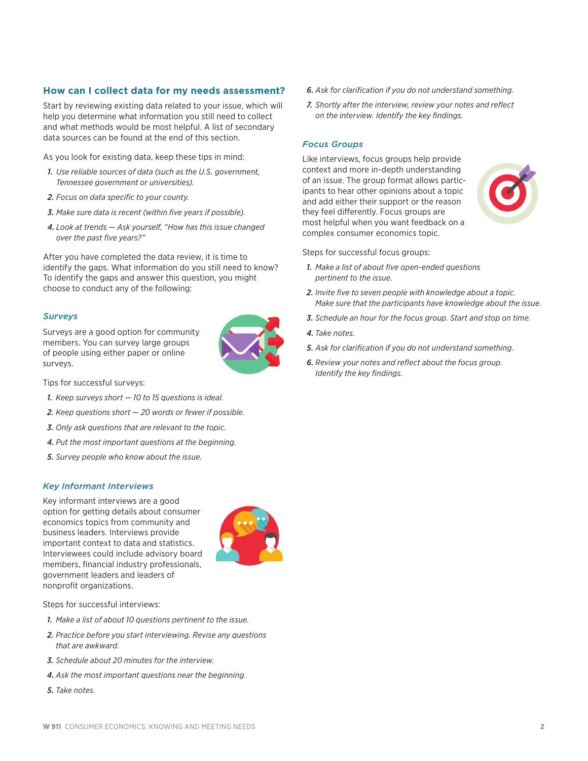## **How can I collect data for my needs assessment?**

Start by reviewing existing data related to your issue, which will help you determine what information you still need to collect and what methods would be most helpful. A list of secondary data sources can be found at the end of this section.

As you look for existing data, keep these tips in mind:

- *1. Use reliable sources of data (such as the U.S. government, Tennessee government or universities).*
- *2. Focus on data specific to your county.*
- *3. Make sure data is recent (within five years if possible).*
- *4. Look at trends Ask yourself, "How has this issue changed over the past five years?"*

After you have completed the data review, it is time to identify the gaps. What information do you still need to know? To identify the gaps and answer this question, you might choose to conduct any of the following:

#### *Surveys*

Surveys are a good option for community members. You can survey large groups of people using either paper or online surveys.



Tips for successful surveys:

- *1. Keep surveys short 10 to 15 questions is ideal.*
- *2. Keep questions short 20 words or fewer if possible.*
- *3. Only ask questions that are relevant to the topic.*
- *4. Put the most important questions at the beginning.*
- *5. Survey people who know about the issue.*

### *Key Informant Interviews*

Key informant interviews are a good option for getting details about consumer economics topics from community and business leaders. Interviews provide important context to data and statistics. Interviewees could include advisory board members, financial industry professionals, government leaders and leaders of nonprofit organizations.



Steps for successful interviews:

- *1. Make a list of about 10 questions pertinent to the issue.*
- *2. Practice before you start interviewing. Revise any questions that are awkward.*
- *3. Schedule about 20 minutes for the interview.*
- *4. Ask the most important questions near the beginning.*
- *5. Take notes.*
- *6. Ask for clarification if you do not understand something.*
- *7. Shortly after the interview, review your notes and reflect on the interview. Identify the key findings.*

#### *Focus Groups*

Like interviews, focus groups help provide context and more in-depth understanding of an issue. The group format allows participants to hear other opinions about a topic and add either their support or the reason they feel differently. Focus groups are most helpful when you want feedback on a complex consumer economics topic.



Steps for successful focus groups:

- *1. Make a list of about five open-ended questions pertinent to the issue.*
- *2. Invite five to seven people with knowledge about a topic. Make sure that the participants have knowledge about the issue.*
- *3. Schedule an hour for the focus group. Start and stop on time.*
- *4. Take notes.*
- *5. Ask for clarification if you do not understand something.*
- *6. Review your notes and reflect about the focus group. Identify the key findings.*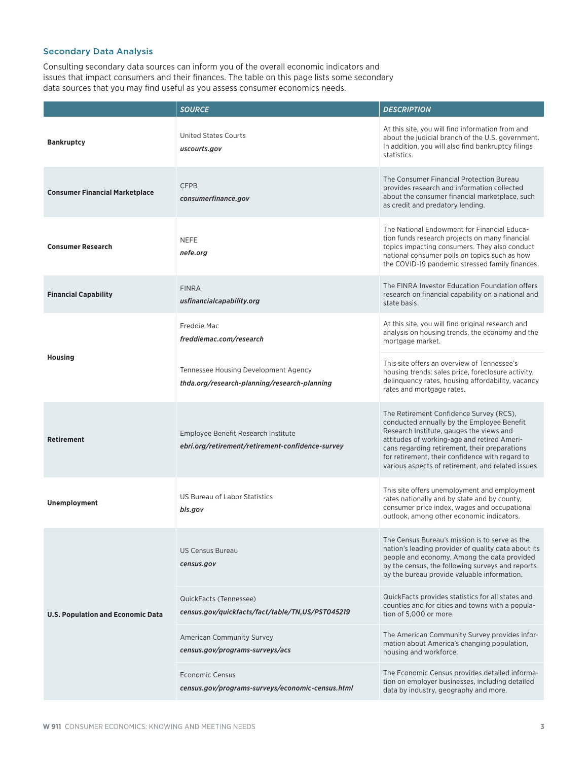## Secondary Data Analysis

Consulting secondary data sources can inform you of the overall economic indicators and issues that impact consumers and their finances. The table on this page lists some secondary data sources that you may find useful as you assess consumer economics needs.

|                                          | <b>SOURCE</b>                                                                           | <b>DESCRIPTION</b>                                                                                                                                                                                                                                                                                                                         |  |
|------------------------------------------|-----------------------------------------------------------------------------------------|--------------------------------------------------------------------------------------------------------------------------------------------------------------------------------------------------------------------------------------------------------------------------------------------------------------------------------------------|--|
| <b>Bankruptcy</b>                        | <b>United States Courts</b><br>uscourts.gov                                             | At this site, you will find information from and<br>about the judicial branch of the U.S. government.<br>In addition, you will also find bankruptcy filings<br>statistics.                                                                                                                                                                 |  |
| <b>Consumer Financial Marketplace</b>    | <b>CFPB</b><br>consumerfinance.gov                                                      | The Consumer Financial Protection Bureau<br>provides research and information collected<br>about the consumer financial marketplace, such<br>as credit and predatory lending.                                                                                                                                                              |  |
| <b>Consumer Research</b>                 | <b>NEFE</b><br>nefe.org                                                                 | The National Endowment for Financial Educa-<br>tion funds research projects on many financial<br>topics impacting consumers. They also conduct<br>national consumer polls on topics such as how<br>the COVID-19 pandemic stressed family finances.                                                                                         |  |
| <b>Financial Capability</b>              | <b>FINRA</b><br>usfinancialcapability.org                                               | The FINRA Investor Education Foundation offers<br>research on financial capability on a national and<br>state basis.                                                                                                                                                                                                                       |  |
| <b>Housing</b>                           | Freddie Mac<br>freddiemac.com/research                                                  | At this site, you will find original research and<br>analysis on housing trends, the economy and the<br>mortgage market.                                                                                                                                                                                                                   |  |
|                                          | Tennessee Housing Development Agency<br>thda.org/research-planning/research-planning    | This site offers an overview of Tennessee's<br>housing trends: sales price, foreclosure activity,<br>delinguency rates, housing affordability, vacancy<br>rates and mortgage rates.                                                                                                                                                        |  |
| <b>Retirement</b>                        | Employee Benefit Research Institute<br>ebri.org/retirement/retirement-confidence-survey | The Retirement Confidence Survey (RCS),<br>conducted annually by the Employee Benefit<br>Research Institute, gauges the views and<br>attitudes of working-age and retired Ameri-<br>cans regarding retirement, their preparations<br>for retirement, their confidence with regard to<br>various aspects of retirement, and related issues. |  |
| <b>Unemployment</b>                      | <b>US Bureau of Labor Statistics</b><br>bls.gov                                         | This site offers unemployment and employment<br>rates nationally and by state and by county,<br>consumer price index, wages and occupational<br>outlook, among other economic indicators.                                                                                                                                                  |  |
| <b>U.S. Population and Economic Data</b> | <b>US Census Bureau</b><br>census.gov                                                   | The Census Bureau's mission is to serve as the<br>nation's leading provider of quality data about its<br>people and economy. Among the data provided<br>by the census, the following surveys and reports<br>by the bureau provide valuable information.                                                                                    |  |
|                                          | QuickFacts (Tennessee)<br>census.gov/quickfacts/fact/table/TN,US/PST045219              | QuickFacts provides statistics for all states and<br>counties and for cities and towns with a popula-<br>tion of 5,000 or more.                                                                                                                                                                                                            |  |
|                                          | <b>American Community Survey</b><br>census.gov/programs-surveys/acs                     | The American Community Survey provides infor-<br>mation about America's changing population,<br>housing and workforce.                                                                                                                                                                                                                     |  |
|                                          | <b>Economic Census</b><br>census.gov/programs-surveys/economic-census.html              | The Economic Census provides detailed informa-<br>tion on employer businesses, including detailed<br>data by industry, geography and more.                                                                                                                                                                                                 |  |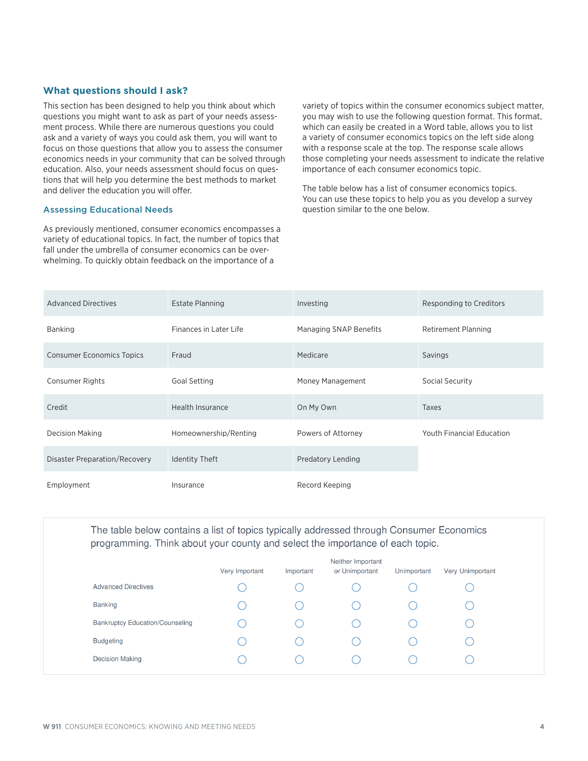## **What questions should I ask?**

This section has been designed to help you think about which questions you might want to ask as part of your needs assessment process. While there are numerous questions you could ask and a variety of ways you could ask them, you will want to focus on those questions that allow you to assess the consumer economics needs in your community that can be solved through education. Also, your needs assessment should focus on questions that will help you determine the best methods to market and deliver the education you will offer.

## Assessing Educational Needs

As previously mentioned, consumer economics encompasses a variety of educational topics. In fact, the number of topics that fall under the umbrella of consumer economics can be overwhelming. To quickly obtain feedback on the importance of a

variety of topics within the consumer economics subject matter, you may wish to use the following question format. This format, which can easily be created in a Word table, allows you to list a variety of consumer economics topics on the left side along with a response scale at the top. The response scale allows those completing your needs assessment to indicate the relative importance of each consumer economics topic.

The table below has a list of consumer economics topics. You can use these topics to help you as you develop a survey question similar to the one below.

| <b>Advanced Directives</b>       | <b>Estate Planning</b> | Investing              | Responding to Creditors          |
|----------------------------------|------------------------|------------------------|----------------------------------|
| Banking                          | Finances in Later Life | Managing SNAP Benefits | <b>Retirement Planning</b>       |
| <b>Consumer Economics Topics</b> | Fraud                  | Medicare               | Savings                          |
| Consumer Rights                  | Goal Setting           | Money Management       | Social Security                  |
| Credit                           | Health Insurance       | On My Own              | Taxes                            |
| <b>Decision Making</b>           | Homeownership/Renting  | Powers of Attorney     | <b>Youth Financial Education</b> |
| Disaster Preparation/Recovery    | <b>Identity Theft</b>  | Predatory Lending      |                                  |
| Employment                       | Insurance              | Record Keeping         |                                  |

The table below contains a list of topics typically addressed through Consumer Economics programming. Think about your county and select the importance of each topic.

|                                        | Very Important | Important | Neither Important<br>or Unimportant | Unimportant | Very Unimportant |
|----------------------------------------|----------------|-----------|-------------------------------------|-------------|------------------|
| <b>Advanced Directives</b>             |                |           |                                     |             |                  |
| Banking                                |                |           |                                     |             |                  |
| <b>Bankruptcy Education/Counseling</b> |                |           |                                     |             |                  |
| <b>Budgeting</b>                       |                |           |                                     |             |                  |
| <b>Decision Making</b>                 |                |           |                                     |             |                  |
|                                        |                |           |                                     |             |                  |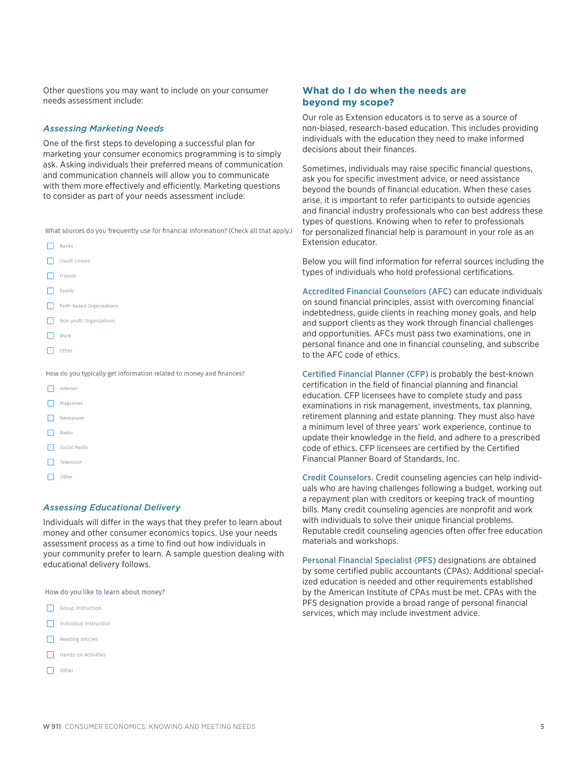Other questions you may want to include on your consumer needs assessment include:

## *Assessing Marketing Needs*

One of the first steps to developing a successful plan for marketing your consumer economics programming is to simply ask. Asking individuals their preferred means of communication and communication channels will allow you to communicate with them more effectively and efficiently. Marketing questions to consider as part of your needs assessment include:

What sources do you frequently use for financial information? (Check all that apply.)

| Banks                                                               |
|---------------------------------------------------------------------|
| Credit Unions                                                       |
| Friends                                                             |
| Family                                                              |
| Faith-based Organizations                                           |
| Non-profit Organizations                                            |
| Work                                                                |
| Other                                                               |
|                                                                     |
| How do you typically get information related to money and finances? |
| Internet                                                            |
| Magazines                                                           |
| Newspaper                                                           |
| Radio                                                               |

- Social Media
- Television
- $\Box$  Other

## *Assessing Educational Delivery*

Individuals will differ in the ways that they prefer to learn about money and other consumer economics topics. Use your needs assessment process as a time to find out how individuals in your community prefer to learn. A sample question dealing with educational delivery follows.

How do you like to learn about money?

- Group Instruction
- Individual Instruction
- Reading Articles
- Hands-on Activities
- $\Box$  Other

## **What do I do when the needs are beyond my scope?**

Our role as Extension educators is to serve as a source of non-biased, research-based education. This includes providing individuals with the education they need to make informed decisions about their finances.

Sometimes, individuals may raise specific financial questions, ask you for specific investment advice, or need assistance beyond the bounds of financial education. When these cases arise, it is important to refer participants to outside agencies and financial industry professionals who can best address these types of questions. Knowing when to refer to professionals for personalized financial help is paramount in your role as an Extension educator.

Below you will find information for referral sources including the types of individuals who hold professional certifications.

Accredited Financial Counselors (AFC) can educate individuals on sound financial principles, assist with overcoming financial indebtedness, guide clients in reaching money goals, and help and support clients as they work through financial challenges and opportunities. AFCs must pass two examinations, one in personal finance and one in financial counseling, and subscribe to the AFC code of ethics.

Certified Financial Planner (CFP) is probably the best-known certification in the field of financial planning and financial education. CFP licensees have to complete study and pass examinations in risk management, investments, tax planning, retirement planning and estate planning. They must also have a minimum level of three years' work experience, continue to update their knowledge in the field, and adhere to a prescribed code of ethics. CFP licensees are certified by the Certified Financial Planner Board of Standards, Inc.

Credit Counselors. Credit counseling agencies can help individuals who are having challenges following a budget, working out a repayment plan with creditors or keeping track of mounting bills. Many credit counseling agencies are nonprofit and work with individuals to solve their unique financial problems. Reputable credit counseling agencies often offer free education materials and workshops.

Personal Financial Specialist (PFS) designations are obtained by some certified public accountants (CPAs). Additional specialized education is needed and other requirements established by the American Institute of CPAs must be met. CPAs with the PFS designation provide a broad range of personal financial services, which may include investment advice.